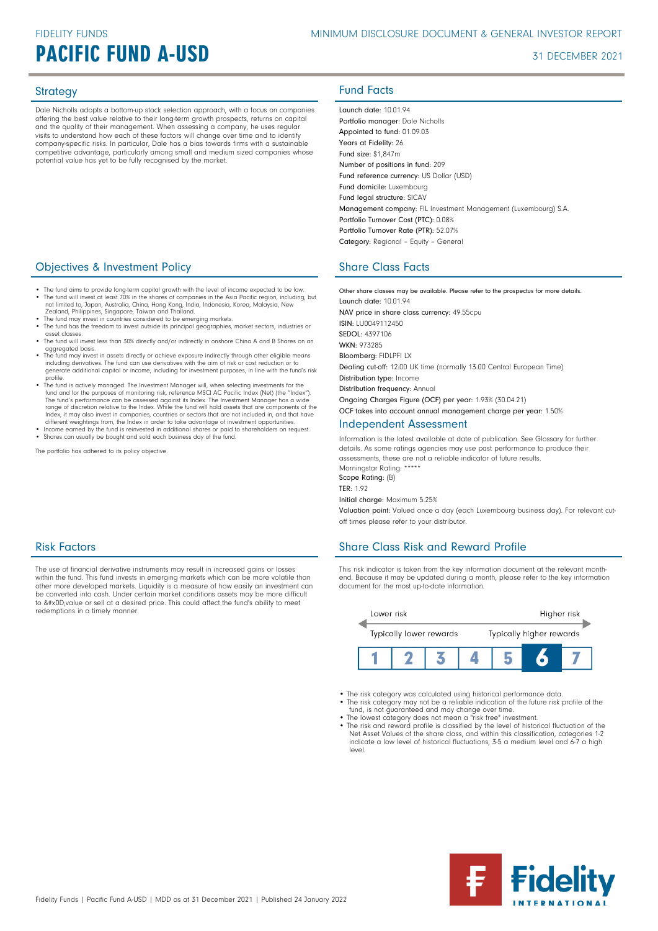## **PACIFIC FUND A-USD 31 DECEMBER 2021**

Dale Nicholls adopts a bottom-up stock selection approach, with a focus on companies offering the best value relative to their long-term growth prospects, returns on capital and the quality of their management. When assessing a company, he uses regular visits to understand how each of these factors will change over time and to identify company-specific risks. In particular, Dale has a bias towards firms with a sustainable competitive advantage, particularly among small and medium sized companies whose potential value has yet to be fully recognised by the market.

## **Objectives & Investment Policy Share Class Facts** Share Class Facts

- The fund aims to provide long-term capital growth with the level of income expected to be low. • The fund will invest at least 70% in the shares of companies in the Asia Pacific region, including, but not limited to, Japan, Australia, China, Hong Kong, India, Indonesia, Korea, Malaysia, New
- Zealand, Philippines, Singapore, Taiwan and Thailand.<br>• The fund may invest in countries considered to be emerging markets.<br>• The fund has the freedom to invest outside its principal geographies, market sectors, industries
- asset classes.
- The fund will invest less than 30% directly and/or indirectly in onshore China A and B Shares on an aggregated basis.
- The fund may invest in assets directly or achieve exposure indirectly through other eligible means including derivatives. The fund can use derivatives with the aim of risk or cost reduction or to generate additional capital or income, including for investment purposes, in line with the fund's risk
- profile.<br>
 The Inval is actively managed. The Investment Manager will, when selecting investments for the<br>
fund and for the purposes of monitoring risk, reference MSCI AC Pacific Index (Net) (the "Index").<br>
The fund's per Index, it may also invest in companies, countries or sectors that are not included in, and that have different weightings from, the Index in order to take advantage of investment opportunities.
- Income earned by the fund is reinvested in additional shares or paid to shareholders on request. Shares can usually be bought and sold each business day of the fund.

The portfolio has adhered to its policy objective.

### Risk Factors

The use of financial derivative instruments may result in increased gains or losses within the fund. This fund invests in emerging markets which can be more volatile than other more developed markets. Liquidity is a measure of how easily an investment can be converted into cash. Under certain market conditions assets may be more difficult<br>to &#x0D;value or sell at a desired price. This could affect the fund's ability to meet redemptions in a timely manner.

## Strategy **Fund Facts**

Launch date: 10.01.94 Portfolio manager: Dale Nicholls Appointed to fund: 01.09.03 Years at Fidelity: 26 Fund size: \$1,847m Number of positions in fund: 209 Fund reference currency: US Dollar (USD) Fund domicile: Luxembourg Fund legal structure: SICAV Management company: FIL Investment Management (Luxembourg) S.A. Portfolio Turnover Cost (PTC): 0.08% Portfolio Turnover Rate (PTR): 52.07% Category: Regional – Equity – General

Other share classes may be available. Please refer to the prospectus for more details. Launch date: 10.01.94 NAV price in share class currency: 49.55cpu ISIN: LU0049112450 SEDOL: 4397106 WKN- 973285 Bloomberg: FIDLPFI LX Dealing cut-off: 12:00 UK time (normally 13:00 Central European Time) Distribution type: Income Distribution frequency: Annual Ongoing Charges Figure (OCF) per year: 1.93% (30.04.21) OCF takes into account annual management charge per year: 1.50% Independent Assessment

Information is the latest available at date of publication. See Glossary for further details. As some ratings agencies may use past performance to produce their assessments, these are not a reliable indicator of future results. Morningstar Rating: \*\*\*\*\*

Scope Rating: (B)

TFR · 1.92 Initial charge: Maximum 5.25%

Valuation point: Valued once a day (each Luxembourg business day). For relevant cutoff times please refer to your distributor.

## Share Class Risk and Reward Profile

This risk indicator is taken from the key information document at the relevant monthend. Because it may be updated during a month, please refer to the key information document for the most up-to-date information.



- The risk category was calculated using historical performance data.
- The risk category may not be a reliable indication of the future risk profile of the fund, is not guaranteed and may change over time. The lowest category does not mean a "risk free" investment.
- 
- The risk and reward profile is classified by the level of historical fluctuation of the Net Asset Values of the share class, and within this classification, categories 1-2 indicate a low level of historical fluctuations, 3-5 a medium level and 6-7 a high level.

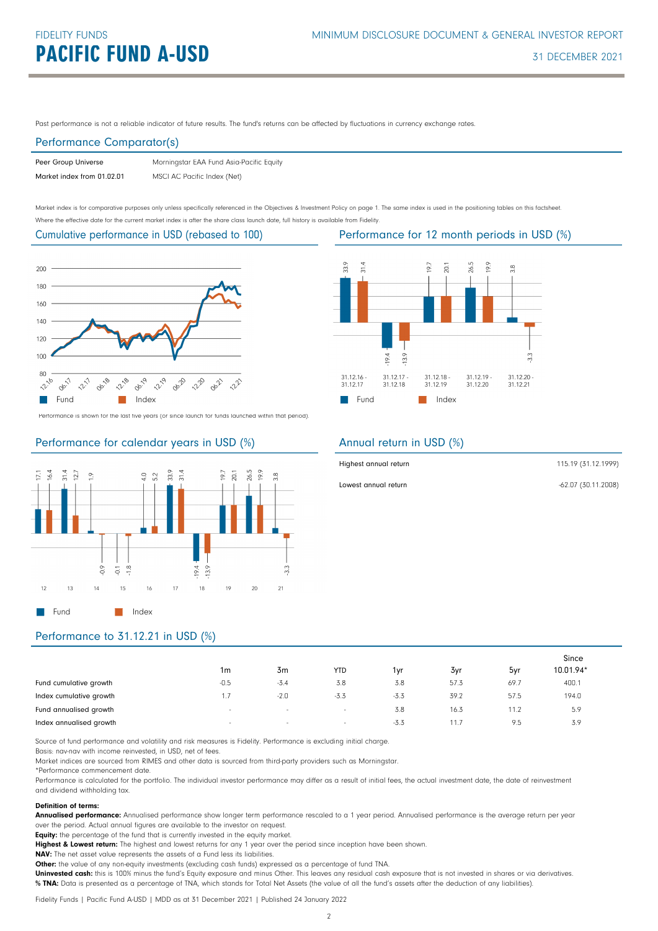Past performance is not a reliable indicator of future results. The fund's returns can be affected by fluctuations in currency exchange rates.

#### Performance Comparator(s)

| Peer Group Universe        | Morningstar EAA Fund Asia-Pacific Equity |
|----------------------------|------------------------------------------|
| Market index from 01.02.01 | MSCI AC Pacific Index (Net)              |

Market index is for comparative purposes only unless specifically referenced in the Objectives & Investment Policy on page 1. The same index is used in the positioning tables on this factsheet. Where the effective date for the current market index is after the share class launch date, full history is available from Fidelity.

Cumulative performance in USD (rebased to 100)



Performance is shown for the last five years (or since launch for funds launched within that period).

## Performance for calendar years in USD (%)





### Annual return in USD (%)

| Highest annual return | 115.19 (31.12.1999) |
|-----------------------|---------------------|
| Lowest annual return  | -62.07 (30.11.2008) |

## Performance to 31.12.21 in USD (%)

|                         |        |        |            |        |      |      | Since     |  |
|-------------------------|--------|--------|------------|--------|------|------|-----------|--|
|                         | 1m     | 3m     | <b>YTD</b> | 1yr    | 3yr  | 5yr  | 10.01.94* |  |
| Fund cumulative growth  | $-0.5$ | $-3.4$ | 3.8        | 3.8    | 57.3 | 69.7 | 400.1     |  |
| Index cumulative growth |        | $-2.0$ | $-3.3$     | $-3.3$ | 39.2 | 57.5 | 194.0     |  |
| Fund annualised growth  | $\sim$ | $\sim$ | $\sim$     | 3.8    | 16.3 | 11.2 | 5.9       |  |
| Index annualised growth | $\sim$ | $\sim$ | $\sim$     | $-3.3$ | 11.7 | 9.5  | 3.9       |  |

Source of fund performance and volatility and risk measures is Fidelity. Performance is excluding initial charge.

Basis: nav-nav with income reinvested, in USD, net of fees.

Market indices are sourced from RIMES and other data is sourced from third-party providers such as Morningstar.

\*Performance commencement date.

Performance is calculated for the portfolio. The individual investor performance may differ as a result of initial fees, the actual investment date, the date of reinvestment and dividend withholding tax.

#### Definition of terms:

Annualised performance: Annualised performance show longer term performance rescaled to a 1 year period. Annualised performance is the average return per year over the period. Actual annual figures are available to the investor on request.

Equity: the percentage of the fund that is currently invested in the equity market.

Highest & Lowest return: The highest and lowest returns for any 1 year over the period since inception have been shown.

NAV: The net asset value represents the assets of a Fund less its liabilities.

Other: the value of any non-equity investments (excluding cash funds) expressed as a percentage of fund TNA.

Uninvested cash: this is 100% minus the fund's Equity exposure and minus Other. This leaves any residual cash exposure that is not invested in shares or via derivatives. % TNA: Data is presented as a percentage of TNA, which stands for Total Net Assets (the value of all the fund's assets after the deduction of any liabilities).

Performance for 12 month periods in USD (%)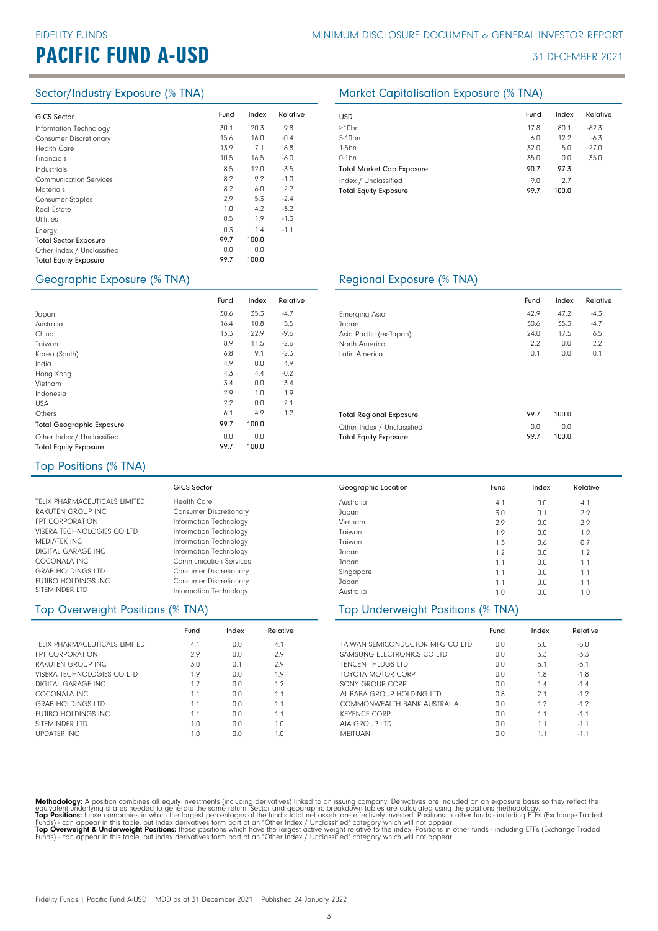# **PACIFIC FUND A-USD 31 DECEMBER 2021**

| <b>GICS Sector</b>            | Fund | Index | Relative | <b>USD</b> |
|-------------------------------|------|-------|----------|------------|
| Information Technology        | 30.1 | 20.3  | 9.8      | >10        |
| <b>Consumer Discretionary</b> | 15.6 | 16.0  | $-0.4$   | $5 - 10$   |
| <b>Health Care</b>            | 13.9 | 7.1   | 6.8      | $1-5b$     |
| Financials                    | 10.5 | 16.5  | -6.0     | $0-1b$     |
| Industrials                   | 8.5  | 12.0  | $-3.5$   | Totc       |
| <b>Communication Services</b> | 8.2  | 9.2   | $-1.0$   | Inde       |
| <b>Materials</b>              | 8.2  | 6.0   | 2.2      | Totc       |
| <b>Consumer Staples</b>       | 2.9  | 5.3   | $-2.4$   |            |
| Real Estate                   | 1.0  | 4.2   | $-3.2$   |            |
| <b>Utilities</b>              | 0.5  | 1.9   | $-1.3$   |            |
| Energy                        | 0.3  | 1.4   | $-1.1$   |            |
| <b>Total Sector Exposure</b>  | 99.7 | 100.0 |          |            |
| Other Index / Unclassified    | 0.0  | 0.0   |          |            |
| <b>Total Equity Exposure</b>  | 99.7 | 100.0 |          |            |
|                               |      |       |          |            |

Fund Index Relative 30.6 35.3 -4.7

10.8 22.9 11.5 9.1 0.0 4.4 0.0 1.0  $0.0$ 

4.9 99.7 100.0  $0.0$ 99.7

 $0.0$ 100.0

5.5 -9.6 -2.6 -2.3 4.9 -0.2 3.4 1.9  $2.1$ <br> $1.2$ 

16.4 13.3 6.8 4.9 4.3 3.4  $2^{\circ}$  $2.2$ <br>6.1

8.9

#### Sector/Industry Exposure (% TNA) Market Capitalisation Exposure (% TNA)

| <b>USD</b>                                           | Fund        | Index        | Relative |
|------------------------------------------------------|-------------|--------------|----------|
| $>10$ bn                                             | 17.8        | 80.1         | $-62.3$  |
| 5-10 <sub>bn</sub>                                   | 6.0         | 12.2         | $-6.3$   |
| $1-5$ bn                                             | 32.0        | 5.0          | 27.0     |
| $0-1$ bn                                             | 35.0        | 0.0          | 35.0     |
| <b>Total Market Cap Exposure</b>                     | 90.7        | 97.3         |          |
| Index / Unclassified<br><b>Total Equity Exposure</b> | 9.0<br>99.7 | 2.7<br>100.0 |          |

#### Geographic Exposure (% TNA) Regional Exposure (% TNA)

|                                | Fund | Index | Relative |
|--------------------------------|------|-------|----------|
| Emerging Asia                  | 42.9 | 47.2  | $-4.3$   |
| Japan                          | 30.6 | 35.3  | $-4.7$   |
| Asia Pacific (ex-Japan)        | 74.0 | 17.5  | 6.5      |
| North America                  | 2.2  | 0.0   | 2.2      |
| Latin America                  | 0.1  | 0.0   | 0.1      |
|                                |      |       |          |
| <b>Total Regional Exposure</b> | 99.7 | 100.0 |          |
| Other Index / Unclassified     | 0.0  | 0.0   |          |
| <b>Total Equity Exposure</b>   | 99.7 | 100.0 |          |

## Top Positions (% TNA)

Total Geographic Exposure Other Index / Unclassified Total Equity Exposure

Japan Australia China Taiwan Korea (South) India Hong Kong Vietnam Indonesia USA

Others

|                               | GICS Sector                   | Geographic Location | Fund | Index | Relative |
|-------------------------------|-------------------------------|---------------------|------|-------|----------|
| TELIX PHARMACEUTICALS LIMITED | Health Care                   | Australia           | 4.1  | 0.0   | 4.1      |
| RAKUTEN GROUP INC             | <b>Consumer Discretionary</b> | Japan               | 3.0  | 0.1   | 2.9      |
| <b>FPT CORPORATION</b>        | Information Technology        | Vietnam             | 2.9  | 0.0   | 2.9      |
| VISERA TECHNOLOGIES CO LTD    | Information Technology        | Taiwan              | 1.9  | 0.0   | 1.9      |
| MEDIATEK INC                  | Information Technology        | Taiwan              | 1.3  | 0.6   | 0.7      |
| DIGITAL GARAGE INC.           | Information Technology        | Japan               | 1.2  | 0.0   | 1.2      |
| COCONALA INC                  | <b>Communication Services</b> | Japan               | 1.1  | 0.0   | 1.1      |
| <b>GRAB HOLDINGS LTD</b>      | <b>Consumer Discretionary</b> | Singapore           | 1.1  | 0.0   | 1.1      |
| <b>FUJIBO HOLDINGS INC</b>    | <b>Consumer Discretionary</b> | Japan               | 1.1  | 0.0   | 1.1      |
| SITEMINDER LTD                | Information Technology        | Australia           | 1.0  | 0.0   | 1.0      |

### Top Overweight Positions (% TNA)

|                               | Fund | Index | Relative |
|-------------------------------|------|-------|----------|
| TFLIX PHARMACEUTICALS LIMITED | 4.1  | 0.0   | 4.1      |
| <b>FPT CORPORATION</b>        | 2.9  | 0.0   | 2.9      |
| RAKUTEN GROUP INC             | 3.0  | 0.1   | 2.9      |
| VISERA TECHNOLOGIES CO LTD    | 1.9  | 0.0   | 1.9      |
| DIGITAL GARAGE INC.           | 1.2  | 0.0   | 1.2      |
| COCONALA INC                  | 1.1  | 0.0   | 1.1      |
| <b>GRAB HOLDINGS LTD</b>      | 1.1  | 0.0   | 1.1      |
| FUJIBO HOLDINGS INC.          | 1.1  | 0.0   | 1.1      |
| SITEMINDER LTD                | 1.0  | 0.0   | 1.0      |
| <b>UPDATER INC.</b>           | 1.0  | nη    | 1.0      |

| Japan                             | 1.1 | 0.O |     |
|-----------------------------------|-----|-----|-----|
| Singapore                         | 1.1 | 0.0 |     |
| Japan                             | 1.1 | 0.0 |     |
| Australia                         | 1.0 | 0.0 | 1.1 |
| Top Underweight Positions (% TNA) |     |     |     |
|                                   |     |     |     |

|                                 | Fund | Index | Relative |
|---------------------------------|------|-------|----------|
| TAIWAN SEMICONDUCTOR MEG CO LTD | 0.0  | 5.0   | $-5.0$   |
| SAMSUNG FLECTRONICS CO LTD      | 0.0  | 3.3   | $-3.3$   |
| <b>TENCENT HLDGS LTD</b>        | 0.0  | 31    | $-3.1$   |
| TOYOTA MOTOR CORP               | 0.0  | 1.8   | $-1.8$   |
| SONY GROUP CORP                 | 0.0  | 14    | $-1.4$   |
| ALIBABA GROUP HOLDING LTD       | 0.8  | 21    | $-12$    |
| COMMONWEALTH BANK ALISTRALIA    | 0.0  | 1.2   | $-12$    |
| <b>KEYENCE CORP</b>             | 0.0  | 11    | $-11$    |
| AIA GROUP LTD                   | 0.0  | 11    | $-11$    |
| MFITUAN                         | 0.0  | 11    | $-11$    |

Methodology: A position combines all equity investments (including derivatives) linked to an issuing company. Derivatives are included on an exposure basis so they reflect the<br>equivalent underlying shares needed to generat